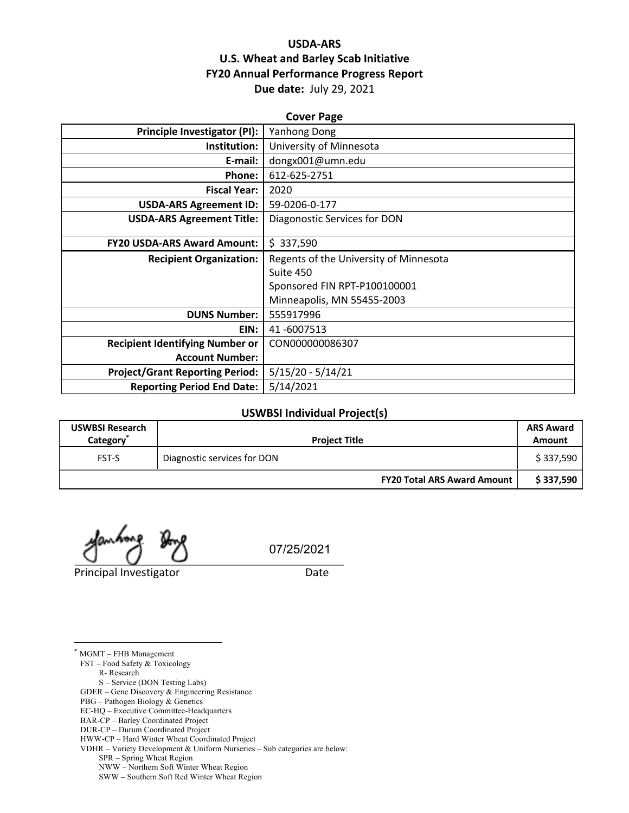# **USDA-ARS U.S. Wheat and Barley Scab Initiative FY20 Annual Performance Progress Report Due date:** July 29, 2021

| <b>Cover Page</b>                      |                                        |  |
|----------------------------------------|----------------------------------------|--|
| Principle Investigator (PI):           | Yanhong Dong                           |  |
| Institution:                           | University of Minnesota                |  |
| E-mail:                                | dongx001@umn.edu                       |  |
| Phone:                                 | 612-625-2751                           |  |
| <b>Fiscal Year:</b>                    | 2020                                   |  |
| <b>USDA-ARS Agreement ID:</b>          | 59-0206-0-177                          |  |
| <b>USDA-ARS Agreement Title:</b>       | Diagonostic Services for DON           |  |
|                                        |                                        |  |
| <b>FY20 USDA-ARS Award Amount:</b>     | \$337,590                              |  |
| <b>Recipient Organization:</b>         | Regents of the University of Minnesota |  |
|                                        | Suite 450                              |  |
|                                        | Sponsored FIN RPT-P100100001           |  |
|                                        | Minneapolis, MN 55455-2003             |  |
| <b>DUNS Number:</b>                    | 555917996                              |  |
| EIN:                                   | 41-6007513                             |  |
| <b>Recipient Identifying Number or</b> | CON000000086307                        |  |
| <b>Account Number:</b>                 |                                        |  |
| <b>Project/Grant Reporting Period:</b> | $5/15/20 - 5/14/21$                    |  |
| <b>Reporting Period End Date:</b>      | 5/14/2021                              |  |

### **USWBSI Individual Project(s)**

| <b>USWBSI Research</b><br>Category <sup>*</sup> | <b>Project Title</b>               | <b>ARS Award</b><br>Amount |
|-------------------------------------------------|------------------------------------|----------------------------|
| <b>FST-S</b>                                    | Diagnostic services for DON        | \$337,590                  |
|                                                 | <b>FY20 Total ARS Award Amount</b> | \$337,590                  |

Principal Investigator **Date** 

07/25/2021

\* MGMT – FHB Management FST – Food Safety & Toxicology

R- Research

S – Service (DON Testing Labs)

GDER – Gene Discovery & Engineering Resistance

PBG – Pathogen Biology & Genetics EC-HQ – Executive Committee-Headquarters

BAR-CP – Barley Coordinated Project

DUR-CP – Durum Coordinated Project

HWW-CP – Hard Winter Wheat Coordinated Project

VDHR – Variety Development & Uniform Nurseries – Sub categories are below:

SPR – Spring Wheat Region

NWW – Northern Soft Winter Wheat Region

SWW – Southern Soft Red Winter Wheat Region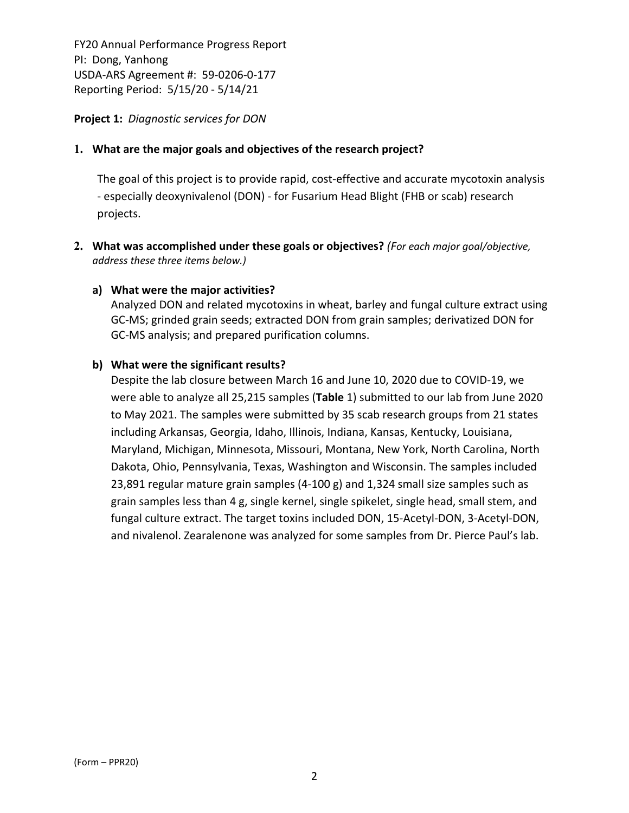**Project 1:** *Diagnostic services for DON*

## **1. What are the major goals and objectives of the research project?**

The goal of this project is to provide rapid, cost-effective and accurate mycotoxin analysis ‐ especially deoxynivalenol (DON) ‐ for Fusarium Head Blight (FHB or scab) research projects.

**2. What was accomplished under these goals or objectives?** *(For each major goal/objective, address these three items below.)*

## **a) What were the major activities?**

Analyzed DON and related mycotoxins in wheat, barley and fungal culture extract using GC‐MS; grinded grain seeds; extracted DON from grain samples; derivatized DON for GC‐MS analysis; and prepared purification columns.

## **b) What were the significant results?**

Despite the lab closure between March 16 and June 10, 2020 due to COVID‐19, we were able to analyze all 25,215 samples (**Table** 1) submitted to our lab from June 2020 to May 2021. The samples were submitted by 35 scab research groups from 21 states including Arkansas, Georgia, Idaho, Illinois, Indiana, Kansas, Kentucky, Louisiana, Maryland, Michigan, Minnesota, Missouri, Montana, New York, North Carolina, North Dakota, Ohio, Pennsylvania, Texas, Washington and Wisconsin. The samples included 23,891 regular mature grain samples (4‐100 g) and 1,324 small size samples such as grain samples less than 4 g, single kernel, single spikelet, single head, small stem, and fungal culture extract. The target toxins included DON, 15‐Acetyl‐DON, 3‐Acetyl‐DON, and nivalenol. Zearalenone was analyzed for some samples from Dr. Pierce Paul's lab.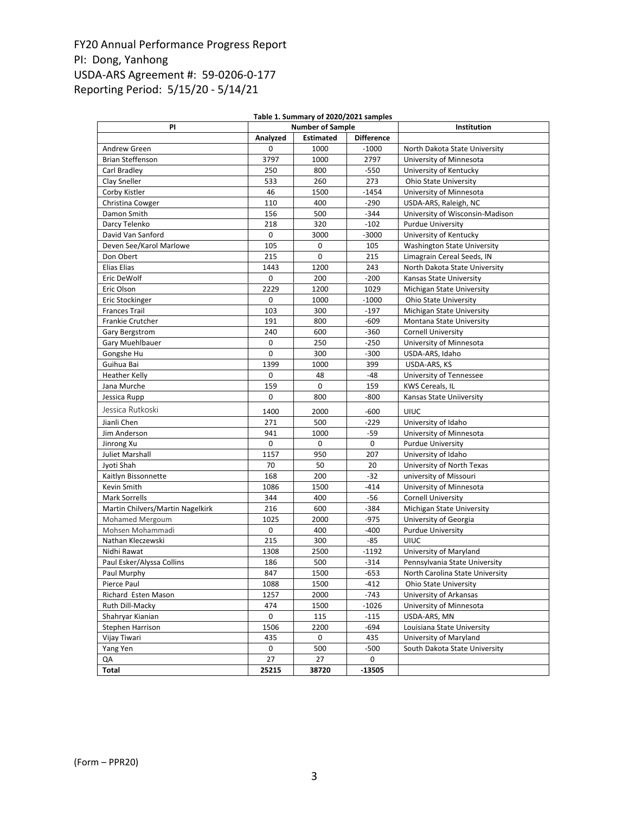| Table 1. Summary of 2020/2021 samples |             |             |                   |                                    |  |  |
|---------------------------------------|-------------|-------------|-------------------|------------------------------------|--|--|
| PI                                    | Institution |             |                   |                                    |  |  |
|                                       | Analyzed    | Estimated   | <b>Difference</b> |                                    |  |  |
| Andrew Green                          | 0           | 1000        | $-1000$           | North Dakota State University      |  |  |
| <b>Brian Steffenson</b>               | 3797        | 1000        | 2797              | University of Minnesota            |  |  |
| Carl Bradley                          | 250         | 800         | $-550$            | University of Kentucky             |  |  |
| Clay Sneller                          | 533         | 260         | 273               | <b>Ohio State University</b>       |  |  |
| Corby Kistler                         | 46          | 1500        | $-1454$           | University of Minnesota            |  |  |
| Christina Cowger                      | 110         | 400         | $-290$            | USDA-ARS, Raleigh, NC              |  |  |
| Damon Smith                           | 156         | 500         | $-344$            | University of Wisconsin-Madison    |  |  |
| Darcy Telenko                         | 218         | 320         | $-102$            | <b>Purdue University</b>           |  |  |
| David Van Sanford                     | 0           | 3000        | $-3000$           | University of Kentucky             |  |  |
| Deven See/Karol Marlowe               | 105         | $\mathbf 0$ | 105               | <b>Washington State University</b> |  |  |
| Don Obert                             | 215         | $\mathbf 0$ | 215               | Limagrain Cereal Seeds, IN         |  |  |
| Elias Elias                           | 1443        | 1200        | 243               | North Dakota State University      |  |  |
| Eric DeWolf                           | 0           | 200         | $-200$            | Kansas State University            |  |  |
| Eric Olson                            | 2229        | 1200        | 1029              | Michigan State University          |  |  |
| Eric Stockinger                       | 0           | 1000        | $-1000$           | <b>Ohio State University</b>       |  |  |
| <b>Frances Trail</b>                  | 103         | 300         | $-197$            | Michigan State University          |  |  |
| Frankie Crutcher                      | 191         | 800         | $-609$            | Montana State University           |  |  |
| Gary Bergstrom                        | 240         | 600         | $-360$            | <b>Cornell University</b>          |  |  |
| Gary Muehlbauer                       | 0           | 250         | $-250$            | University of Minnesota            |  |  |
| Gongshe Hu                            | 0           | 300         | $-300$            | USDA-ARS, Idaho                    |  |  |
| Guihua Bai                            | 1399        | 1000        | 399               | USDA-ARS, KS                       |  |  |
| <b>Heather Kelly</b>                  | 0           | 48          | $-48$             | University of Tennessee            |  |  |
| Jana Murche                           | 159         | 0           | 159               | KWS Cereals, IL                    |  |  |
| Jessica Rupp                          | 0           | 800         | $-800$            | Kansas State Uniiversity           |  |  |
| Jessica Rutkoski                      | 1400        | 2000        | $-600$            | <b>UIUC</b>                        |  |  |
| Jianli Chen                           | 271         | 500         | $-229$            | University of Idaho                |  |  |
| Jim Anderson                          | 941         | 1000        | -59               | University of Minnesota            |  |  |
| Jinrong Xu                            | 0           | 0           | 0                 | <b>Purdue University</b>           |  |  |
| Juliet Marshall                       | 1157        | 950         | 207               | University of Idaho                |  |  |
| Jyoti Shah                            | 70          | 50          | 20                | University of North Texas          |  |  |
| Kaitlyn Bissonnette                   | 168         | 200         | $-32$             | university of Missouri             |  |  |
| Kevin Smith                           | 1086        | 1500        | $-414$            | University of Minnesota            |  |  |
| <b>Mark Sorrells</b>                  | 344         | 400         | $-56$             | <b>Cornell University</b>          |  |  |
| Martin Chilvers/Martin Nagelkirk      | 216         | 600         | $-384$            | Michigan State University          |  |  |
| Mohamed Mergoum                       | 1025        | 2000        | $-975$            | University of Georgia              |  |  |
| Mohsen Mohammadi                      | 0           | 400         | $-400$            | <b>Purdue University</b>           |  |  |
| Nathan Kleczewski                     | 215         | 300         | $-85$             | <b>UIUC</b>                        |  |  |
| Nidhi Rawat                           | 1308        | 2500        | $-1192$           | University of Maryland             |  |  |
| Paul Esker/Alyssa Collins             | 186         | 500         | $-314$            | Pennsylvania State University      |  |  |
| Paul Murphy                           | 847         | 1500        | $-653$            | North Carolina State University    |  |  |
| Pierce Paul                           | 1088        | 1500        | $-412$            | <b>Ohio State University</b>       |  |  |
| Richard Esten Mason                   | 1257        | 2000        | $-743$            | University of Arkansas             |  |  |
| Ruth Dill-Macky                       | 474         | 1500        | $-1026$           | University of Minnesota            |  |  |
| Shahryar Kianian                      | 0           | 115         | $-115$            | USDA-ARS, MN                       |  |  |
| Stephen Harrison                      | 1506        | 2200        | $-694$            | Louisiana State University         |  |  |
| Vijay Tiwari                          | 435         | 0           | 435               | University of Maryland             |  |  |
| Yang Yen                              | 0           | 500         | $-500$            | South Dakota State University      |  |  |
| QA                                    | 27          | 27          | 0                 |                                    |  |  |
| Total                                 | 25215       | 38720       | -13505            |                                    |  |  |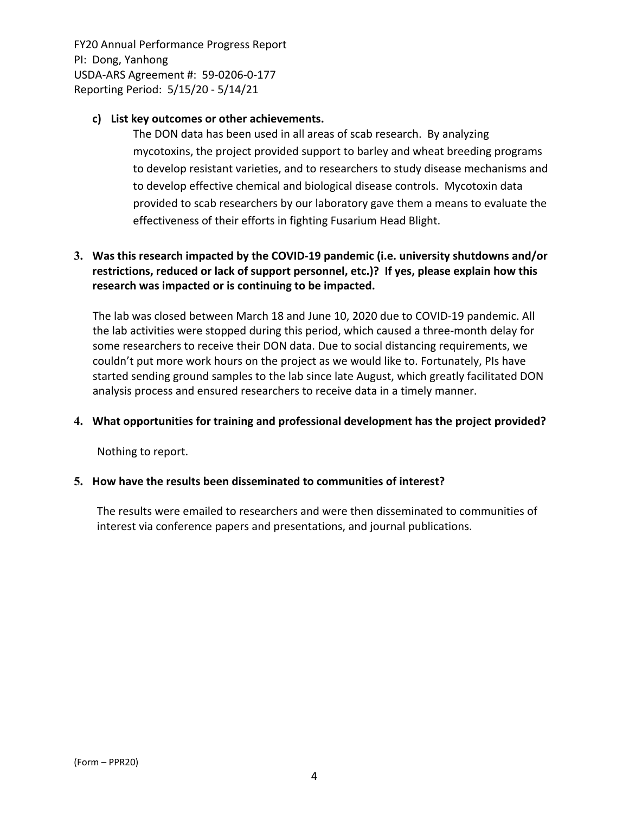## **c) List key outcomes or other achievements.**

The DON data has been used in all areas of scab research. By analyzing mycotoxins, the project provided support to barley and wheat breeding programs to develop resistant varieties, and to researchers to study disease mechanisms and to develop effective chemical and biological disease controls. Mycotoxin data provided to scab researchers by our laboratory gave them a means to evaluate the effectiveness of their efforts in fighting Fusarium Head Blight.

# **3. Was this research impacted by the COVID‐19 pandemic (i.e. university shutdowns and/or restrictions, reduced or lack of support personnel, etc.)? If yes, please explain how this research was impacted or is continuing to be impacted.**

The lab was closed between March 18 and June 10, 2020 due to COVID‐19 pandemic. All the lab activities were stopped during this period, which caused a three‐month delay for some researchers to receive their DON data. Due to social distancing requirements, we couldn't put more work hours on the project as we would like to. Fortunately, PIs have started sending ground samples to the lab since late August, which greatly facilitated DON analysis process and ensured researchers to receive data in a timely manner.

# **4. What opportunities for training and professional development has the project provided?**

Nothing to report.

### **5. How have the results been disseminated to communities of interest?**

The results were emailed to researchers and were then disseminated to communities of interest via conference papers and presentations, and journal publications.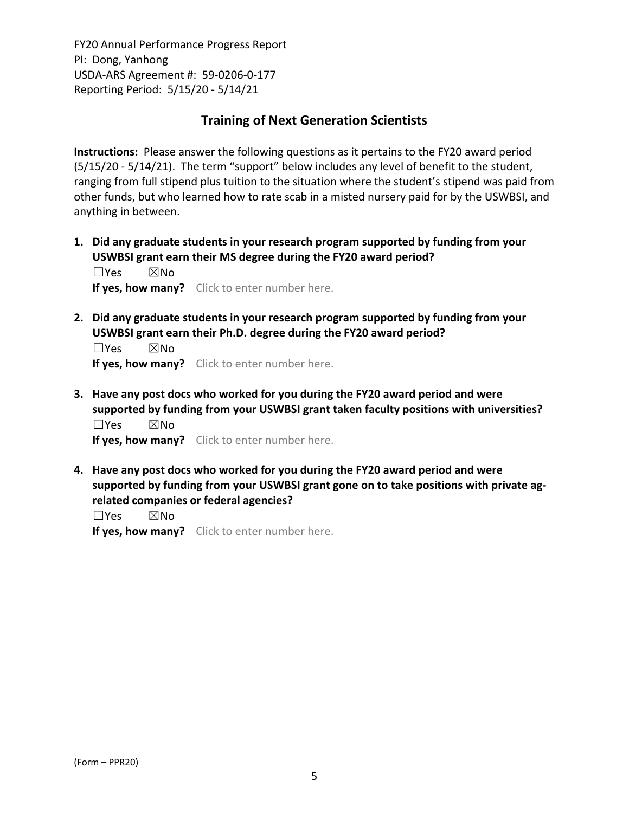# **Training of Next Generation Scientists**

**Instructions:** Please answer the following questions as it pertains to the FY20 award period (5/15/20 ‐ 5/14/21). The term "support" below includes any level of benefit to the student, ranging from full stipend plus tuition to the situation where the student's stipend was paid from other funds, but who learned how to rate scab in a misted nursery paid for by the USWBSI, and anything in between.

**1. Did any graduate students in your research program supported by funding from your USWBSI grant earn their MS degree during the FY20 award period?** ☐Yes ☒No

**If yes, how many?** Click to enter number here.

**2. Did any graduate students in your research program supported by funding from your USWBSI grant earn their Ph.D. degree during the FY20 award period?**

 $\square$ Yes  $\square$ No **If yes, how many?** Click to enter number here.

**3. Have any post docs who worked for you during the FY20 award period and were supported by funding from your USWBSI grant taken faculty positions with universities?** ☐Yes ☒No

**If yes, how many?** Click to enter number here.

**4. Have any post docs who worked for you during the FY20 award period and were supported by funding from your USWBSI grant gone on to take positions with private ag‐ related companies or federal agencies?**

☐Yes ☒No

**If yes, how many?** Click to enter number here.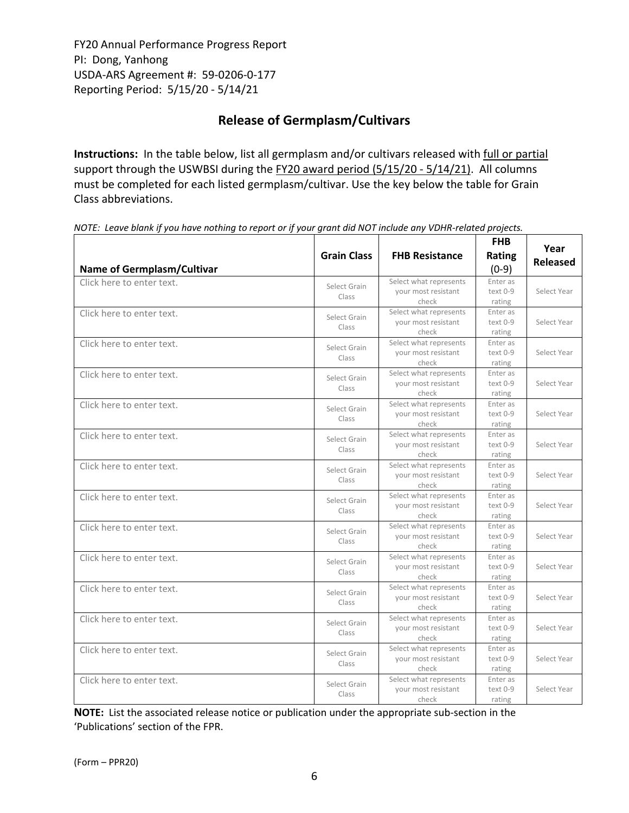# **Release of Germplasm/Cultivars**

**Instructions:** In the table below, list all germplasm and/or cultivars released with full or partial support through the USWBSI during the FY20 award period (5/15/20 - 5/14/21). All columns must be completed for each listed germplasm/cultivar. Use the key below the table for Grain Class abbreviations. 

| <b>Name of Germplasm/Cultivar</b> | <b>Grain Class</b>    | <b>FHB Resistance</b>                                  | <b>FHB</b><br>Rating<br>$(0-9)$  | Year<br><b>Released</b> |
|-----------------------------------|-----------------------|--------------------------------------------------------|----------------------------------|-------------------------|
| Click here to enter text.         | Select Grain<br>Class | Select what represents<br>your most resistant<br>check | Enter as<br>$text 0-9$<br>rating | Select Year             |
| Click here to enter text.         | Select Grain<br>Class | Select what represents<br>your most resistant<br>check | Enter as<br>text 0-9<br>rating   | Select Year             |
| Click here to enter text.         | Select Grain<br>Class | Select what represents<br>your most resistant<br>check | Enter as<br>text 0-9<br>rating   | Select Year             |
| Click here to enter text.         | Select Grain<br>Class | Select what represents<br>your most resistant<br>check | Enter as<br>text 0-9<br>rating   | Select Year             |
| Click here to enter text.         | Select Grain<br>Class | Select what represents<br>your most resistant<br>check | Enter as<br>text 0-9<br>rating   | Select Year             |
| Click here to enter text.         | Select Grain<br>Class | Select what represents<br>your most resistant<br>check | Enter as<br>text 0-9<br>rating   | Select Year             |
| Click here to enter text.         | Select Grain<br>Class | Select what represents<br>your most resistant<br>check | Enter as<br>text 0-9<br>rating   | Select Year             |
| Click here to enter text.         | Select Grain<br>Class | Select what represents<br>your most resistant<br>check | Enter as<br>text 0-9<br>rating   | Select Year             |
| Click here to enter text.         | Select Grain<br>Class | Select what represents<br>your most resistant<br>check | Enter as<br>text 0-9<br>rating   | Select Year             |
| Click here to enter text.         | Select Grain<br>Class | Select what represents<br>your most resistant<br>check | Enter as<br>text 0-9<br>rating   | Select Year             |
| Click here to enter text.         | Select Grain<br>Class | Select what represents<br>your most resistant<br>check | Enter as<br>text 0-9<br>rating   | Select Year             |
| Click here to enter text.         | Select Grain<br>Class | Select what represents<br>your most resistant<br>check | Enter as<br>text 0-9<br>rating   | Select Year             |
| Click here to enter text.         | Select Grain<br>Class | Select what represents<br>your most resistant<br>check | Enter as<br>text 0-9<br>rating   | Select Year             |
| Click here to enter text.         | Select Grain<br>Class | Select what represents<br>your most resistant<br>check | Enter as<br>text 0-9<br>rating   | Select Year             |

NOTE: Leave blank if you have nothing to report or if your grant did NOT include any VDHR-related projects.

**NOTE:** List the associated release notice or publication under the appropriate sub-section in the 'Publications' section of the FPR.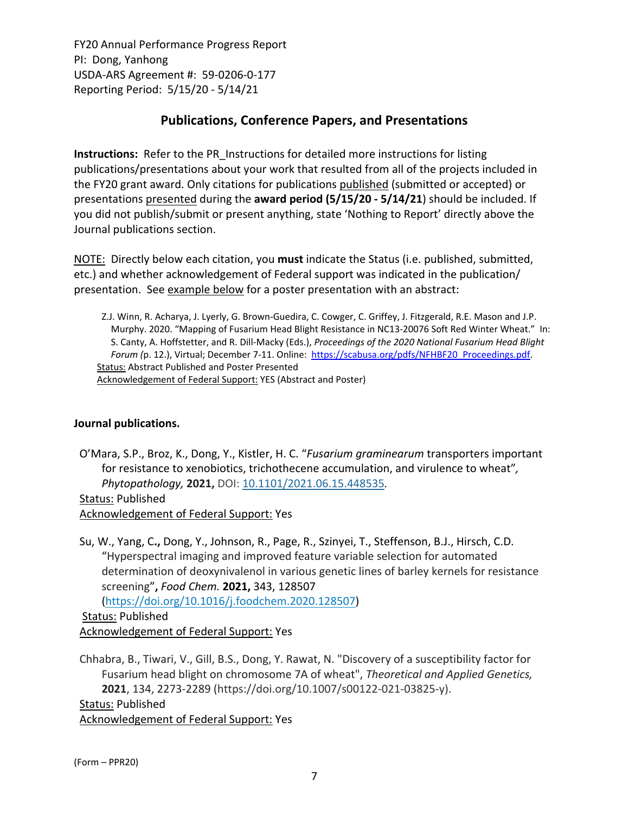# **Publications, Conference Papers, and Presentations**

**Instructions:** Refer to the PR\_Instructions for detailed more instructions for listing publications/presentations about your work that resulted from all of the projects included in the FY20 grant award. Only citations for publications published (submitted or accepted) or presentations presented during the **award period (5/15/20 ‐ 5/14/21**) should be included. If you did not publish/submit or present anything, state 'Nothing to Report' directly above the Journal publications section.

NOTE: Directly below each citation, you **must** indicate the Status (i.e. published, submitted, etc.) and whether acknowledgement of Federal support was indicated in the publication/ presentation. See example below for a poster presentation with an abstract:

Z.J. Winn, R. Acharya, J. Lyerly, G. Brown‐Guedira, C. Cowger, C. Griffey, J. Fitzgerald, R.E. Mason and J.P. Murphy. 2020. "Mapping of Fusarium Head Blight Resistance in NC13‐20076 Soft Red Winter Wheat." In: S. Canty, A. Hoffstetter, and R. Dill‐Macky (Eds.), *Proceedings of the 2020 National Fusarium Head Blight Forum (*p. 12.), Virtual; December 7‐11. Online: https://scabusa.org/pdfs/NFHBF20\_Proceedings.pdf. Status: Abstract Published and Poster Presented Acknowledgement of Federal Support: YES (Abstract and Poster)

# **Journal publications.**

O'Mara, S.P., Broz, K., Dong, Y., Kistler, H. C. "*Fusarium graminearum* transporters important for resistance to xenobiotics, trichothecene accumulation, and virulence to wheat"*, Phytopathology,* **2021,** DOI: 10.1101/2021.06.15.448535*.*

Status: Published Acknowledgement of Federal Support: Yes

Su, W., Yang, C**.,** Dong, Y., Johnson, R., Page, R., Szinyei, T., Steffenson, B.J., Hirsch, C.D. "Hyperspectral imaging and improved feature variable selection for automated determination of deoxynivalenol in various genetic lines of barley kernels for resistance screening"**,** *Food Chem.* **2021,** 343, 128507

(https://doi.org/10.1016/j.foodchem.2020.128507)

Status: Published Acknowledgement of Federal Support: Yes

Chhabra, B., Tiwari, V., Gill, B.S., Dong, Y. Rawat, N. "Discovery of a susceptibility factor for Fusarium head blight on chromosome 7A of wheat", *Theoretical and Applied Genetics,* **2021**, 134, 2273‐2289 (https://doi.org/10.1007/s00122‐021‐03825‐y). Status: Published Acknowledgement of Federal Support: Yes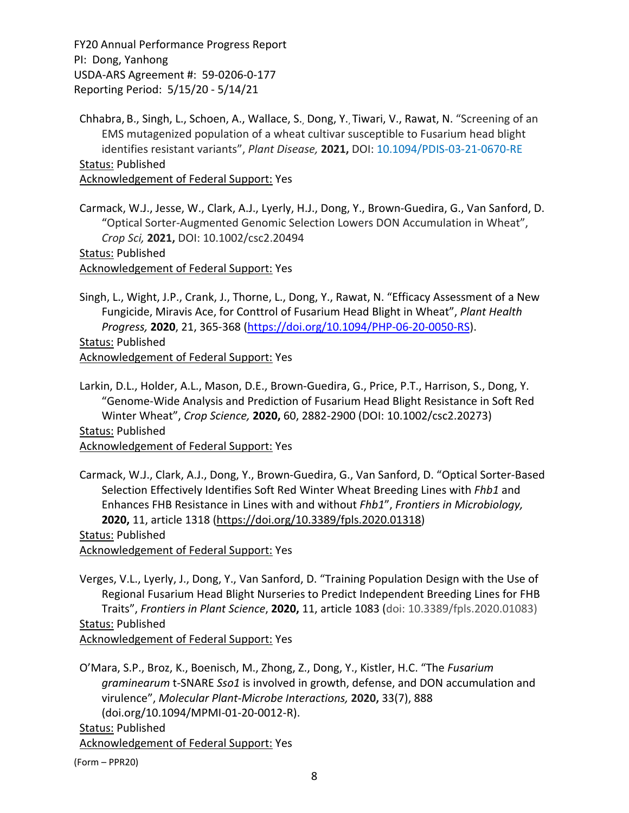Chhabra, B., Singh, L., Schoen, A., Wallace, S., Dong, Y., Tiwari, V., Rawat, N. "Screening of an EMS mutagenized population of a wheat cultivar susceptible to Fusarium head blight identifies resistant variants", *Plant Disease,* **2021,** DOI: 10.1094/PDIS‐03‐21‐0670‐RE Status: Published Acknowledgement of Federal Support: Yes

Carmack, W.J., Jesse, W., Clark, A.J., Lyerly, H.J., Dong, Y., Brown‐Guedira, G., Van Sanford, D. "Optical Sorter‐Augmented Genomic Selection Lowers DON Accumulation in Wheat", *Crop Sci,* **2021,** DOI: 10.1002/csc2.20494

Status: Published Acknowledgement of Federal Support: Yes

Singh, L., Wight, J.P., Crank, J., Thorne, L., Dong, Y., Rawat, N. "Efficacy Assessment of a New Fungicide, Miravis Ace, for Conttrol of Fusarium Head Blight in Wheat", *Plant Health Progress,* **2020**, 21, 365‐368 (https://doi.org/10.1094/PHP‐06‐20‐0050‐RS). Status: Published Acknowledgement of Federal Support: Yes

Larkin, D.L., Holder, A.L., Mason, D.E., Brown‐Guedira, G., Price, P.T., Harrison, S., Dong, Y. "Genome‐Wide Analysis and Prediction of Fusarium Head Blight Resistance in Soft Red Winter Wheat", *Crop Science,* **2020,** 60, 2882‐2900 (DOI: 10.1002/csc2.20273) Status: Published

Acknowledgement of Federal Support: Yes

Carmack, W.J., Clark, A.J., Dong, Y., Brown‐Guedira, G., Van Sanford, D. "Optical Sorter‐Based Selection Effectively Identifies Soft Red Winter Wheat Breeding Lines with *Fhb1* and Enhances FHB Resistance in Lines with and without *Fhb1*", *Frontiers in Microbiology,* **2020,** 11, article 1318 (https://doi.org/10.3389/fpls.2020.01318)

Status: Published Acknowledgement of Federal Support: Yes

Verges, V.L., Lyerly, J., Dong, Y., Van Sanford, D. "Training Population Design with the Use of Regional Fusarium Head Blight Nurseries to Predict Independent Breeding Lines for FHB Traits", *Frontiers in Plant Science*, **2020,** 11, article 1083 (doi: 10.3389/fpls.2020.01083) Status: Published Acknowledgement of Federal Support: Yes

O'Mara, S.P., Broz, K., Boenisch, M., Zhong, Z., Dong, Y., Kistler, H.C. "The *Fusarium graminearum* t‐SNARE *Sso1* is involved in growth, defense, and DON accumulation and virulence", *Molecular Plant‐Microbe Interactions,* **2020,** 33(7), 888 (doi.org/10.1094/MPMI‐01‐20‐0012‐R). Status: Published

Acknowledgement of Federal Support: Yes

(Form – PPR20)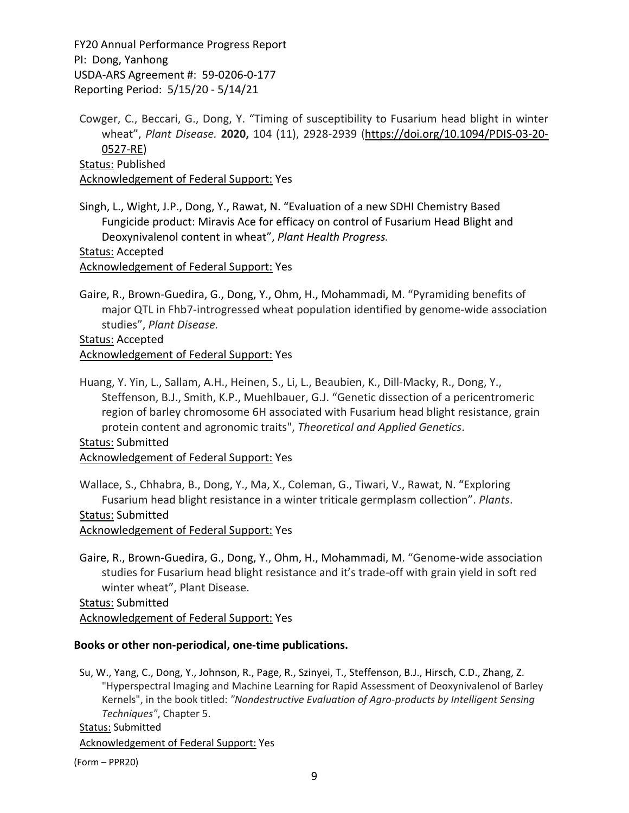Cowger, C., Beccari, G., Dong, Y. "Timing of susceptibility to Fusarium head blight in winter wheat", *Plant Disease.* **2020,** 104 (11), 2928‐2939 (https://doi.org/10.1094/PDIS‐03‐20‐ 0527‐RE) Status: Published Acknowledgement of Federal Support: Yes

Singh, L., Wight, J.P., Dong, Y., Rawat, N. "Evaluation of a new SDHI Chemistry Based Fungicide product: Miravis Ace for efficacy on control of Fusarium Head Blight and Deoxynivalenol content in wheat", *Plant Health Progress.*

Status: Accepted

Acknowledgement of Federal Support: Yes

Gaire, R., Brown‐Guedira, G., Dong, Y., Ohm, H., Mohammadi, M. "Pyramiding benefits of major QTL in Fhb7‐introgressed wheat population identified by genome‐wide association studies", *Plant Disease.*

Status: Accepted Acknowledgement of Federal Support: Yes

Huang, Y. Yin, L., Sallam, A.H., Heinen, S., Li, L., Beaubien, K., Dill‐Macky, R., Dong, Y., Steffenson, B.J., Smith, K.P., Muehlbauer, G.J. "Genetic dissection of a pericentromeric region of barley chromosome 6H associated with Fusarium head blight resistance, grain protein content and agronomic traits", *Theoretical and Applied Genetics*.

Status: Submitted Acknowledgement of Federal Support: Yes

Wallace, S., Chhabra, B., Dong, Y., Ma, X., Coleman, G., Tiwari, V., Rawat, N. "Exploring Fusarium head blight resistance in a winter triticale germplasm collection". *Plants*.

### Status: Submitted

Acknowledgement of Federal Support: Yes

Gaire, R., Brown‐Guedira, G., Dong, Y., Ohm, H., Mohammadi, M. "Genome‐wide association studies for Fusarium head blight resistance and it's trade‐off with grain yield in soft red winter wheat", Plant Disease.

Status: Submitted Acknowledgement of Federal Support: Yes

### **Books or other non‐periodical, one‐time publications.**

Su, W., Yang, C., Dong, Y., Johnson, R., Page, R., Szinyei, T., Steffenson, B.J., Hirsch, C.D., Zhang, Z. "Hyperspectral Imaging and Machine Learning for Rapid Assessment of Deoxynivalenol of Barley Kernels", in the book titled: *"Nondestructive Evaluation of Agro‐products by Intelligent Sensing Techniques"*, Chapter 5.

Status: Submitted

Acknowledgement of Federal Support: Yes

(Form – PPR20)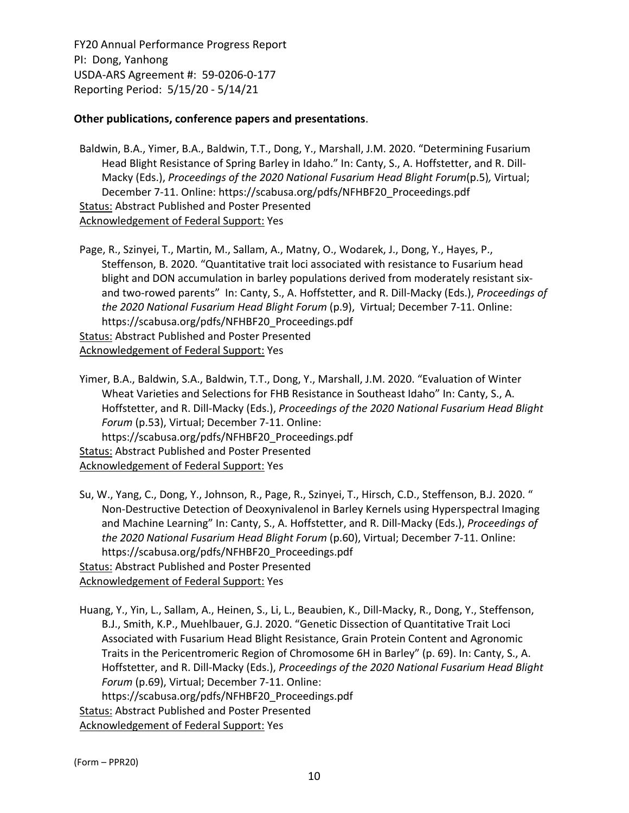### **Other publications, conference papers and presentations**.

Baldwin, B.A., Yimer, B.A., Baldwin, T.T., Dong, Y., Marshall, J.M. 2020. "Determining Fusarium Head Blight Resistance of Spring Barley in Idaho." In: Canty, S., A. Hoffstetter, and R. Dill-Macky (Eds.), *Proceedings of the 2020 National Fusarium Head Blight Forum*(p.5)*,* Virtual; December 7‐11. Online: https://scabusa.org/pdfs/NFHBF20\_Proceedings.pdf Status: Abstract Published and Poster Presented Acknowledgement of Federal Support: Yes

Page, R., Szinyei, T., Martin, M., Sallam, A., Matny, O., Wodarek, J., Dong, Y., Hayes, P., Steffenson, B. 2020. "Quantitative trait loci associated with resistance to Fusarium head blight and DON accumulation in barley populations derived from moderately resistant six‐ and two‐rowed parents" In: Canty, S., A. Hoffstetter, and R. Dill‐Macky (Eds.), *Proceedings of the 2020 National Fusarium Head Blight Forum* (p.9), Virtual; December 7‐11. Online: https://scabusa.org/pdfs/NFHBF20\_Proceedings.pdf Status: Abstract Published and Poster Presented Acknowledgement of Federal Support: Yes

Yimer, B.A., Baldwin, S.A., Baldwin, T.T., Dong, Y., Marshall, J.M. 2020. "Evaluation of Winter Wheat Varieties and Selections for FHB Resistance in Southeast Idaho" In: Canty, S., A. Hoffstetter, and R. Dill‐Macky (Eds.), *Proceedings of the 2020 National Fusarium Head Blight Forum* (p.53), Virtual; December 7‐11. Online: https://scabusa.org/pdfs/NFHBF20\_Proceedings.pdf **Status: Abstract Published and Poster Presented** Acknowledgement of Federal Support: Yes

Su, W., Yang, C., Dong, Y., Johnson, R., Page, R., Szinyei, T., Hirsch, C.D., Steffenson, B.J. 2020. " Non‐Destructive Detection of Deoxynivalenol in Barley Kernels using Hyperspectral Imaging and Machine Learning" In: Canty, S., A. Hoffstetter, and R. Dill‐Macky (Eds.), *Proceedings of the 2020 National Fusarium Head Blight Forum* (p.60), Virtual; December 7‐11. Online: https://scabusa.org/pdfs/NFHBF20\_Proceedings.pdf **Status: Abstract Published and Poster Presented** 

Acknowledgement of Federal Support: Yes

Huang, Y., Yin, L., Sallam, A., Heinen, S., Li, L., Beaubien, K., Dill‐Macky, R., Dong, Y., Steffenson, B.J., Smith, K.P., Muehlbauer, G.J. 2020. "Genetic Dissection of Quantitative Trait Loci Associated with Fusarium Head Blight Resistance, Grain Protein Content and Agronomic Traits in the Pericentromeric Region of Chromosome 6H in Barley" (p. 69). In: Canty, S., A. Hoffstetter, and R. Dill‐Macky (Eds.), *Proceedings of the 2020 National Fusarium Head Blight Forum* (p.69), Virtual; December 7‐11. Online: https://scabusa.org/pdfs/NFHBF20\_Proceedings.pdf **Status: Abstract Published and Poster Presented** Acknowledgement of Federal Support: Yes